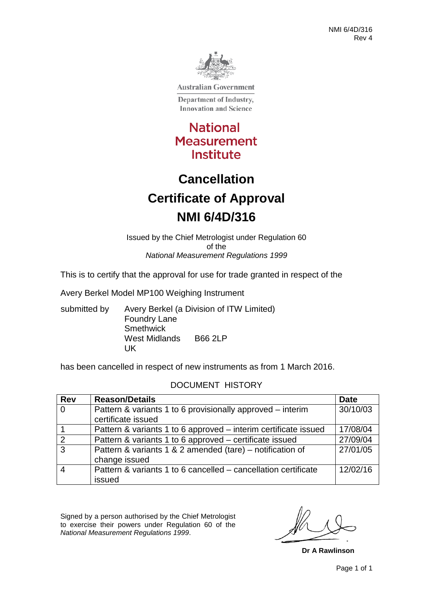

**Australian Government** 

Department of Industry, **Innovation and Science** 

**National Measurement** Institute

# **Cancellation Certificate of Approval NMI 6/4D/316**

Issued by the Chief Metrologist under Regulation 60 of the *National Measurement Regulations 1999*

This is to certify that the approval for use for trade granted in respect of the

Avery Berkel Model MP100 Weighing Instrument

submitted by Avery Berkel (a Division of ITW Limited) Foundry Lane **Smethwick** West Midlands B66 2LP UK

has been cancelled in respect of new instruments as from 1 March 2016.

#### DOCUMENT HISTORY

| <b>Rev</b>     | <b>Reason/Details</b>                                           | <b>Date</b> |
|----------------|-----------------------------------------------------------------|-------------|
| $\overline{0}$ | Pattern & variants 1 to 6 provisionally approved – interim      | 30/10/03    |
|                | certificate issued                                              |             |
|                | Pattern & variants 1 to 6 approved – interim certificate issued | 17/08/04    |
| 2              | Pattern & variants 1 to 6 approved – certificate issued         | 27/09/04    |
| 3              | Pattern & variants 1 & 2 amended (tare) – notification of       | 27/01/05    |
|                | change issued                                                   |             |
| $\overline{4}$ | Pattern & variants 1 to 6 cancelled – cancellation certificate  | 12/02/16    |
|                | issued                                                          |             |

Signed by a person authorised by the Chief Metrologist to exercise their powers under Regulation 60 of the *National Measurement Regulations 1999*.

**Dr A Rawlinson**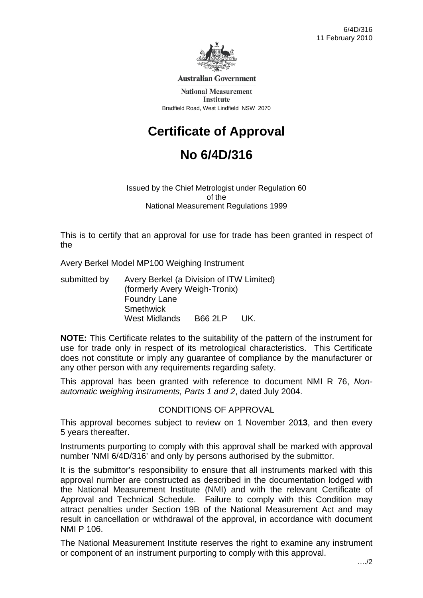

**Australian Government** 

**National Measurement Institute** Bradfield Road, West Lindfield NSW 2070

# **Certificate of Approval**

# **No 6/4D/316**

Issued by the Chief Metrologist under Regulation 60 of the National Measurement Regulations 1999

This is to certify that an approval for use for trade has been granted in respect of the

Avery Berkel Model MP100 Weighing Instrument

submitted by Avery Berkel (a Division of ITW Limited) (formerly Avery Weigh-Tronix) Foundry Lane **Smethwick** West Midlands B66 2LP UK.

**NOTE:** This Certificate relates to the suitability of the pattern of the instrument for use for trade only in respect of its metrological characteristics. This Certificate does not constitute or imply any guarantee of compliance by the manufacturer or any other person with any requirements regarding safety.

This approval has been granted with reference to document NMI R 76, *Nonautomatic weighing instruments, Parts 1 and 2*, dated July 2004.

#### CONDITIONS OF APPROVAL

This approval becomes subject to review on 1 November 20**13**, and then every 5 years thereafter.

Instruments purporting to comply with this approval shall be marked with approval number 'NMI 6/4D/316' and only by persons authorised by the submittor.

It is the submittor's responsibility to ensure that all instruments marked with this approval number are constructed as described in the documentation lodged with the National Measurement Institute (NMI) and with the relevant Certificate of Approval and Technical Schedule. Failure to comply with this Condition may attract penalties under Section 19B of the National Measurement Act and may result in cancellation or withdrawal of the approval, in accordance with document NMI P 106.

The National Measurement Institute reserves the right to examine any instrument or component of an instrument purporting to comply with this approval.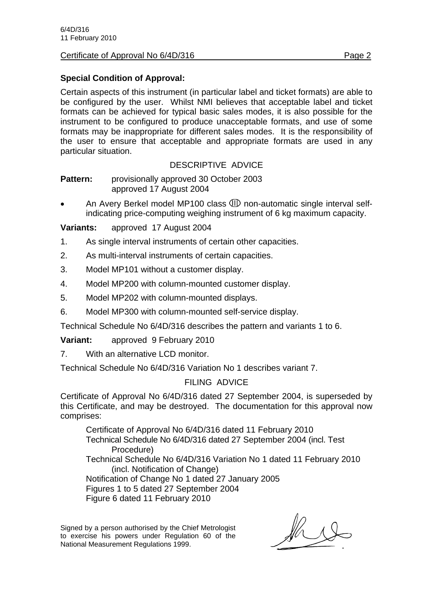#### Certificate of Approval No 6/4D/316 Page 2

# **Special Condition of Approval:**

Certain aspects of this instrument (in particular label and ticket formats) are able to be configured by the user. Whilst NMI believes that acceptable label and ticket formats can be achieved for typical basic sales modes, it is also possible for the instrument to be configured to produce unacceptable formats, and use of some formats may be inappropriate for different sales modes. It is the responsibility of the user to ensure that acceptable and appropriate formats are used in any particular situation.

#### DESCRIPTIVE ADVICE

**Pattern:** provisionally approved 30 October 2003 approved 17 August 2004

An Avery Berkel model MP100 class **ID** non-automatic single interval selfindicating price-computing weighing instrument of 6 kg maximum capacity.

**Variants:** approved 17 August 2004

- 1. As single interval instruments of certain other capacities.
- 2. As multi-interval instruments of certain capacities.
- 3. Model MP101 without a customer display.
- 4. Model MP200 with column-mounted customer display.
- 5. Model MP202 with column-mounted displays.
- 6. Model MP300 with column-mounted self-service display.

Technical Schedule No 6/4D/316 describes the pattern and variants 1 to 6.

**Variant:** approved 9 February 2010

7. With an alternative LCD monitor.

Technical Schedule No 6/4D/316 Variation No 1 describes variant 7.

# FILING ADVICE

Certificate of Approval No 6/4D/316 dated 27 September 2004, is superseded by this Certificate, and may be destroyed. The documentation for this approval now comprises:

 Certificate of Approval No 6/4D/316 dated 11 February 2010 Technical Schedule No 6/4D/316 dated 27 September 2004 (incl. Test Procedure) Technical Schedule No 6/4D/316 Variation No 1 dated 11 February 2010 (incl. Notification of Change) Notification of Change No 1 dated 27 January 2005 Figures 1 to 5 dated 27 September 2004 Figure 6 dated 11 February 2010

Signed by a person authorised by the Chief Metrologist to exercise his powers under Regulation 60 of the National Measurement Regulations 1999.

 $\mathbb{Z}$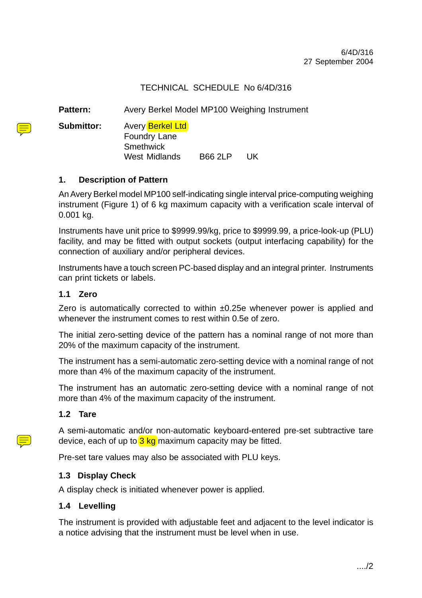# TECHNICAL SCHEDULE No 6/4D/316

Pattern: Avery Berkel Model MP100 Weighing Instrument

**Submittor:** Avery Berkel Ltd

Foundry Lane **Smethwick** West Midlands B66 2LP UK

# **1. Description of Pattern**

An Avery Berkel model MP100 self-indicating single interval price-computing weighing instrument (Figure 1) of 6 kg maximum capacity with a verification scale interval of 0.001 kg.

Instruments have unit price to \$9999.99/kg, price to \$9999.99, a price-look-up (PLU) facility, and may be fitted with output sockets (output interfacing capability) for the connection of auxiliary and/or peripheral devices.

Instruments have a touch screen PC-based display and an integral printer. Instruments can print tickets or labels.

# **1.1 Zero**

Zero is automatically corrected to within ±0.25e whenever power is applied and whenever the instrument comes to rest within 0.5e of zero.

The initial zero-setting device of the pattern has a nominal range of not more than 20% of the maximum capacity of the instrument.

The instrument has a semi-automatic zero-setting device with a nominal range of not more than 4% of the maximum capacity of the instrument.

The instrument has an automatic zero-setting device with a nominal range of not more than 4% of the maximum capacity of the instrument.

# **1.2 Tare**

A semi-automatic and/or non-automatic keyboard-entered pre-set subtractive tare device, each of up to  $3 \text{ kg}$  maximum capacity may be fitted.

Pre-set tare values may also be associated with PLU keys.

# **1.3 Display Check**

A display check is initiated whenever power is applied.

# **1.4 Levelling**

The instrument is provided with adjustable feet and adjacent to the level indicator is a notice advising that the instrument must be level when in use.

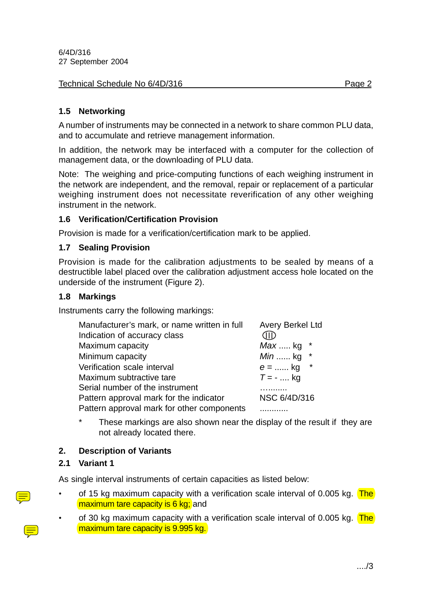#### Technical Schedule No 6/4D/316 Page 2

# **1.5 Networking**

A number of instruments may be connected in a network to share common PLU data, and to accumulate and retrieve management information.

In addition, the network may be interfaced with a computer for the collection of management data, or the downloading of PLU data.

Note: The weighing and price-computing functions of each weighing instrument in the network are independent, and the removal, repair or replacement of a particular weighing instrument does not necessitate reverification of any other weighing instrument in the network.

# **1.6 Verification/Certification Provision**

Provision is made for a verification/certification mark to be applied.

#### **1.7 Sealing Provision**

Provision is made for the calibration adjustments to be sealed by means of a destructible label placed over the calibration adjustment access hole located on the underside of the instrument (Figure 2).

#### **1.8 Markings**

Instruments carry the following markings:

| Manufacturer's mark, or name written in full | <b>Avery Berkel Ltd</b>  |
|----------------------------------------------|--------------------------|
| Indication of accuracy class                 | <b>JID</b>               |
| Maximum capacity                             | <i>Max </i> kg           |
| Minimum capacity                             | <i>Min</i> kg<br>$\star$ |
| Verification scale interval                  | $\star$<br>$e =$ kg      |
| Maximum subtractive tare                     | $T = -$ kg               |
| Serial number of the instrument              |                          |
| Pattern approval mark for the indicator      | <b>NSC 6/4D/316</b>      |
| Pattern approval mark for other components   |                          |

\* These markings are also shown near the display of the result if they are not already located there.

# **2. Description of Variants**

#### **2.1 Variant 1**

As single interval instruments of certain capacities as listed below:

- of 15 kg maximum capacity with a verification scale interval of 0.005 kg.  $The$ maximum tare capacity is 6 kg; and
- of 30 kg maximum capacity with a verification scale interval of 0.005 kg. The maximum tare capacity is 9.995 kg.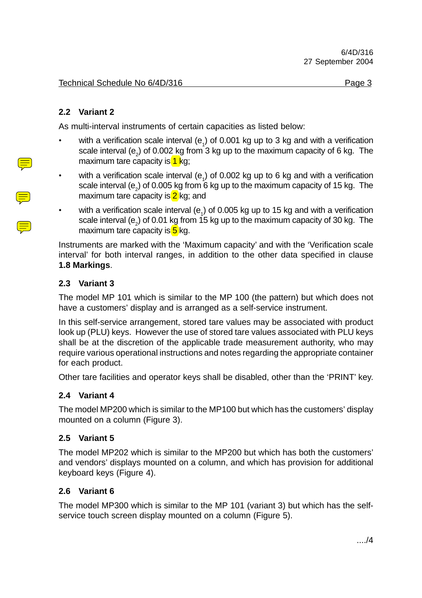# **2.2 Variant 2**

As multi-interval instruments of certain capacities as listed below:

- with a verification scale interval ( $e_1$ ) of 0.001 kg up to 3 kg and with a verification scale interval (e<sub>2</sub>) of 0.002 kg from 3 kg up to the maximum capacity of 6 kg. The maximum tare capacity is  $1 \text{ kg}$ ;
- with a verification scale interval (e<sub>1</sub>) of 0.002 kg up to 6 kg and with a verification scale interval (e<sub>2</sub>) of 0.005 kg from 6 kg up to the maximum capacity of 15 kg. The maximum tare capacity is  $2$  kg; and
- with a verification scale interval (e<sub>1</sub>) of 0.005 kg up to 15 kg and with a verification scale interval (e<sub>2</sub>) of 0.01 kg from 15 kg up to the maximum capacity of 30 kg. The maximum tare capacity is  $5$  kg.

Instruments are marked with the 'Maximum capacity' and with the 'Verification scale interval' for both interval ranges, in addition to the other data specified in clause **1.8 Markings**.

#### **2.3 Variant 3**

The model MP 101 which is similar to the MP 100 (the pattern) but which does not have a customers' display and is arranged as a self-service instrument.

In this self-service arrangement, stored tare values may be associated with product look up (PLU) keys. However the use of stored tare values associated with PLU keys shall be at the discretion of the applicable trade measurement authority, who may require various operational instructions and notes regarding the appropriate container for each product.

Other tare facilities and operator keys shall be disabled, other than the 'PRINT' key.

# **2.4 Variant 4**

The model MP200 which is similar to the MP100 but which has the customers' display mounted on a column (Figure 3).

# **2.5 Variant 5**

The model MP202 which is similar to the MP200 but which has both the customers' and vendors' displays mounted on a column, and which has provision for additional keyboard keys (Figure 4).

# **2.6 Variant 6**

The model MP300 which is similar to the MP 101 (variant 3) but which has the selfservice touch screen display mounted on a column (Figure 5).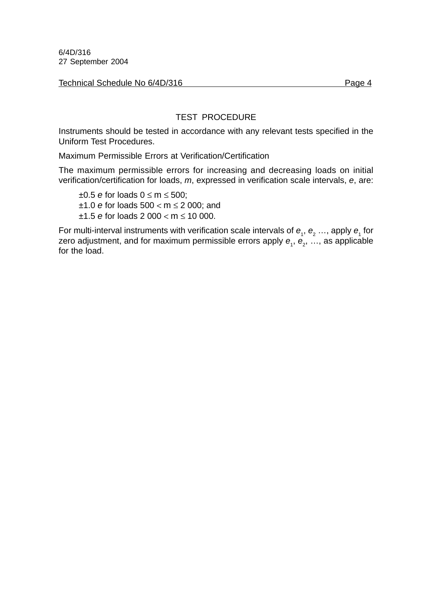Technical Schedule No 6/4D/316 Page 4

# TEST PROCEDURE

Instruments should be tested in accordance with any relevant tests specified in the Uniform Test Procedures.

Maximum Permissible Errors at Verification/Certification

The maximum permissible errors for increasing and decreasing loads on initial verification/certification for loads, *m*, expressed in verification scale intervals, *e*, are:

±0.5 *e* for loads 0 ≤ m ≤ 500; ±1.0 *e* for loads 500 < m ≤ 2 000; and ±1.5 *e* for loads 2 000 < m ≤ 10 000.

For multi-interval instruments with verification scale intervals of  $e_1, e_2 \ldots$ , apply  $e_1$  for zero adjustment, and for maximum permissible errors apply  $\bm{e}_{_{1}},$   $\bm{e}_{_{2}},$  …, as applicable for the load.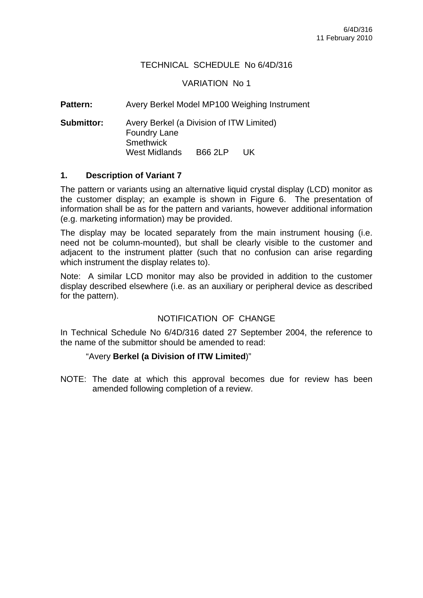#### TECHNICAL SCHEDULE No 6/4D/316

#### VARIATION No 1

Pattern: Avery Berkel Model MP100 Weighing Instrument

**Submittor:** Avery Berkel (a Division of ITW Limited) Foundry Lane **Smethwick** West Midlands B66 2LP UK

#### **1. Description of Variant 7**

The pattern or variants using an alternative liquid crystal display (LCD) monitor as the customer display; an example is shown in Figure 6. The presentation of information shall be as for the pattern and variants, however additional information (e.g. marketing information) may be provided.

The display may be located separately from the main instrument housing (i.e. need not be column-mounted), but shall be clearly visible to the customer and adjacent to the instrument platter (such that no confusion can arise regarding which instrument the display relates to).

Note: A similar LCD monitor may also be provided in addition to the customer display described elsewhere (i.e. as an auxiliary or peripheral device as described for the pattern).

#### NOTIFICATION OF CHANGE

In Technical Schedule No 6/4D/316 dated 27 September 2004, the reference to the name of the submittor should be amended to read:

#### "Avery **Berkel (a Division of ITW Limited**)"

NOTE: The date at which this approval becomes due for review has been amended following completion of a review.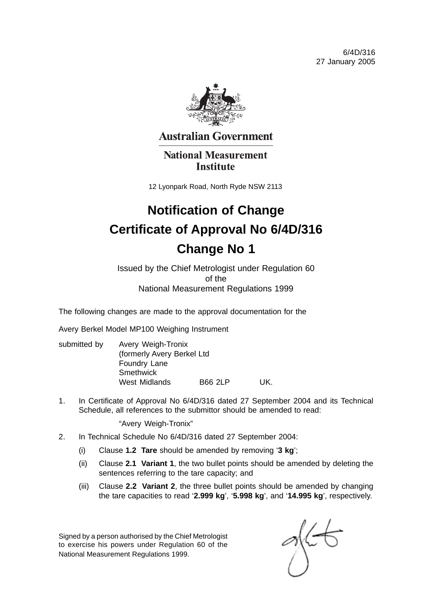6/4D/316 27 January 2005



**Australian Government** 

**National Measurement Institute** 

12 Lyonpark Road, North Ryde NSW 2113

# **Notification of Change Certificate of Approval No 6/4D/316 Change No 1**

Issued by the Chief Metrologist under Regulation 60 of the National Measurement Regulations 1999

The following changes are made to the approval documentation for the

Avery Berkel Model MP100 Weighing Instrument

| submitted by | Avery Weigh-Tronix                         |                      |                |     |
|--------------|--------------------------------------------|----------------------|----------------|-----|
|              | (formerly Avery Berkel Ltd<br>Foundry Lane |                      |                |     |
|              |                                            |                      |                |     |
|              |                                            | <b>West Midlands</b> | <b>B66 2LP</b> | UK. |

1. In Certificate of Approval No 6/4D/316 dated 27 September 2004 and its Technical Schedule, all references to the submittor should be amended to read:

"Avery Weigh-Tronix"

- 2. In Technical Schedule No 6/4D/316 dated 27 September 2004:
	- (i) Clause **1.2 Tare** should be amended by removing '**3 kg**';
	- (ii) Clause **2.1 Variant 1**, the two bullet points should be amended by deleting the sentences referring to the tare capacity; and
	- (iii) Clause **2.2 Variant 2**, the three bullet points should be amended by changing the tare capacities to read '**2.999 kg**', '**5.998 kg**', and '**14.995 kg**', respectively.

Signed by a person authorised by the Chief Metrologist to exercise his powers under Regulation 60 of the National Measurement Regulations 1999.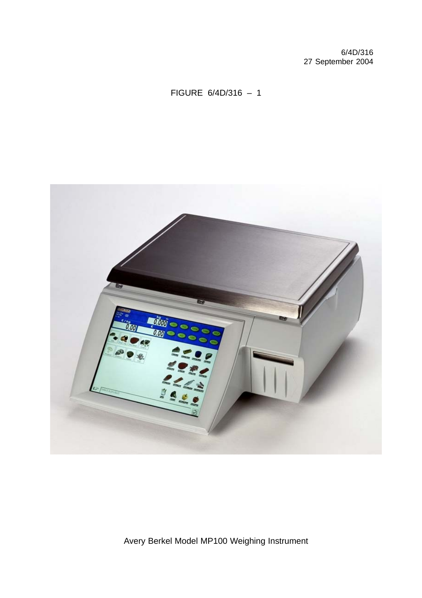# FIGURE 6/4D/316 – 1



Avery Berkel Model MP100 Weighing Instrument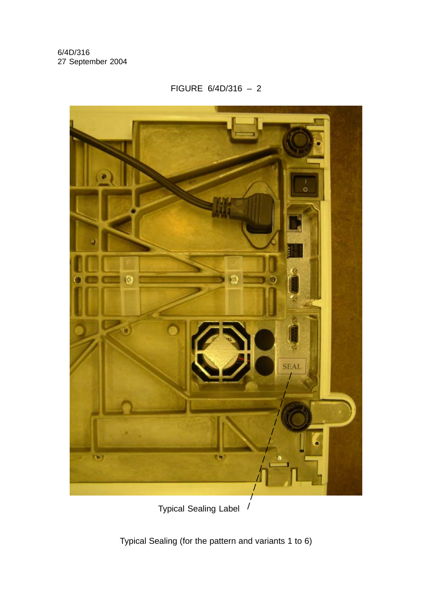FIGURE 6/4D/316 – 2



Typical Sealing Label

Typical Sealing (for the pattern and variants 1 to 6)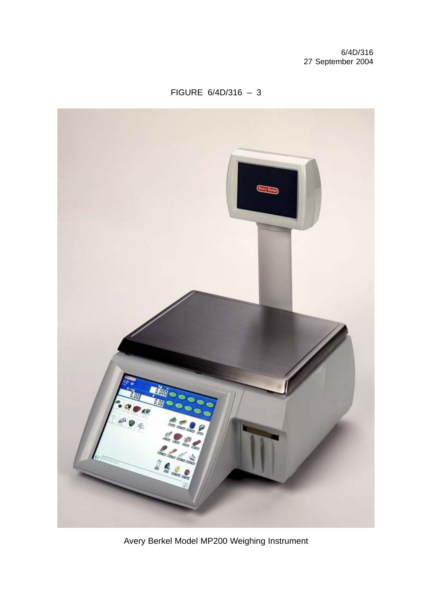

Avery Berkel Model MP200 Weighing Instrument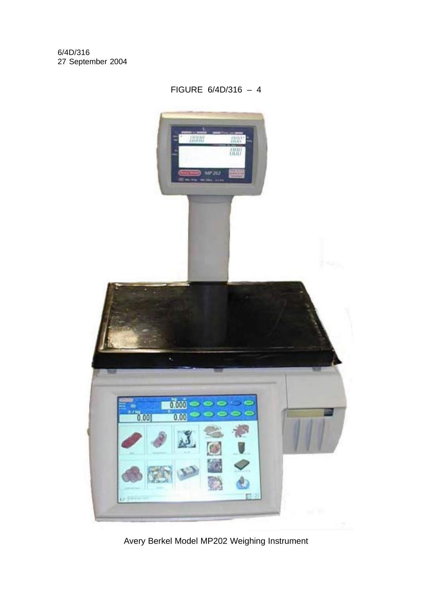

Avery Berkel Model MP202 Weighing Instrument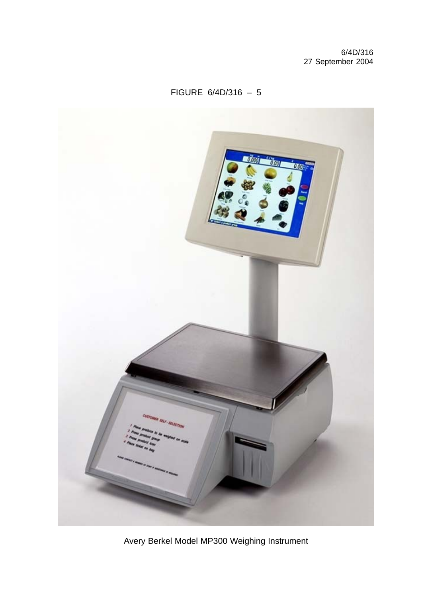

Avery Berkel Model MP300 Weighing Instrument